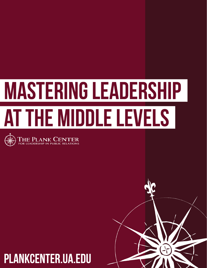# **MASTERING LEADERSHIP** AT THE MIDDLE LEVELS



### **PLANKCENTER.UA.EDU**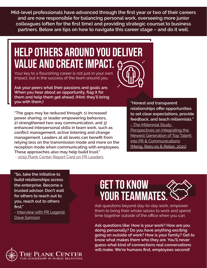**Mid-level professionals have advanced through the first year or two of their careers and are now responsible for balancing personal work, overseeing more junior colleagues (often for the first time) and providing strategic counsel to business partners. Below are tips on how to navigate this career stage – and do it well.**

### **Help others around you deliver value and create impact.**

Your key to a flourishing career is not just in your own impact, but in the success of the team around you.

**Ask your peers what their passions and goals are. When you hear about an opportunity, flag it for them and help them get ahead. (Hint: they'll bring you with them.)**

**"The gaps may be reduced through: 1) increased power sharing, or leader empowering behaviors, 2) strengthened two-way communication, and 3) enhanced interpersonal skills in team work, such as conflict management, active listening and change management. Leaders at all levels can benefit from relying less on the transmission mode and more on the reception mode when communicating with employees. These approaches also may help build trust."** - [2019 Plank Center Report Card on PR Leaders](http://plankcenter.ua.edu/wp-content/uploads/2019/09/Report-Card-Full-Report.pdf)

**"Honest and transparent relationships offer opportunities to set clear expectations, provide feedback, and teach millennials."** [- The Millennial Study:](http://plankcenter.ua.edu/resources/research/5518-2/)  [Perspectives on Integrating the](http://plankcenter.ua.edu/resources/research/5518-2/)  [Newest Generation of Top Talent](http://plankcenter.ua.edu/resources/research/5518-2/)  [into PR & Communications](http://plankcenter.ua.edu/resources/research/5518-2/) (Meng, Reev [es & Reber, 2015\)](http://plankcenter.ua.edu/resources/research/5518-2/)

**"So, take the initiative to build relationships across the enterprise. Become a trusted advisor. Don't wait for others to reach out to you, reach out to others first."**

- Interview with PR Legend [Dave Samson](http://plankcenter.ua.edu/legacies-from-legends-in-pr/pr-legend-dave-samson/)



### **get to know your teammates.**

Ask questions beyond day-to-day work, empower them to bring their whole selves to work and spend time together outside of the office when you can.

**Ask questions like: How is your work? How are you doing personally? Do you have anything exciting going on outside of work? How is your family? Get to know what makes them who they are. You'll never guess what kind of connections real conversations will make. We're humans first, employees second!**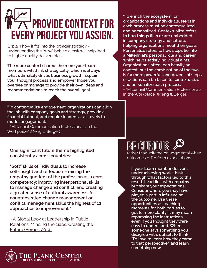## **Provide context for every project you assign.**

Explain how it fits into the broader strategy understanding the "why" behind a task will help lead to higher quality deliverables.

**The more context shared, the more your team members will think strategically, which is always what ultimately drives business growth. Explain your thought process and empower those you oversee or manage to provide their own ideas and recommendations to reach the overall goal.**

**"To enrich the ecosystem for organizations and individuals, steps in each process must be contextualized and personalized. Contextualize refers to how things fit in or are embedded in company strategy and culture, helping organizations meet their goals. Personalize refers to how steps tie into a Millennial's personal role and career, which helps satisfy individual aims. Organizations often lean heavily on context, but the combination of the two is far more powerful, and dozens of steps or actions can be taken to contextualize and personalize each process."** 

- ["Millennial Communication Professionals](http://plankcenter.ua.edu/resources/research/millennial-communication-professionals-in-the-workplace/)  [In the Workplace" \(Meng & Berger\)](http://plankcenter.ua.edu/resources/research/millennial-communication-professionals-in-the-workplace/)

**"To contextualize engagement, organizations can align the job with company goals and strategy, provide a financial tutorial, and require leaders at all levels to model engagement."** 

- ["Millennial Communication Professionals In the](http://plankcenter.ua.edu/resources/research/millennial-communication-professionals-in-the-workplace/)  [Workplace" \(Meng & Berger\)](http://plankcenter.ua.edu/resources/research/millennial-communication-professionals-in-the-workplace/)

**One significant future theme highlighted consistently across countries:**

**"Soft" skills of individuals to increase self-insight and reflection – raising the empathy quotient of the profession as a core competency; improving interpersonal skills to manage change and conflict; and creating a greater sense of cultural awareness. All countries rated change management or conflict management skills the highest of 12 approaches to improvement."**

- [A Global Look at Leadership in Public](http://plankcenter.ua.edu/study-of-trends-in-pr-revealed/)  [Relations: Minding the Gaps, Creating the](http://plankcenter.ua.edu/study-of-trends-in-pr-revealed/)  [Future \(Berger, 2014\)](http://plankcenter.ua.edu/study-of-trends-in-pr-revealed/)

**be curious** rather than irritated or judgmental when outcomes differ from expectations.

**If your team member delivers underachieving work, think through what factors led to this result. Lead first with empathy but share your expectations. Consider where you may have played a part in influencing the outcome. Use these opportunities as teaching moments for both parties to get to more clarity. It may mean rephrasing the instructions, even if you thought they were easy to understand. When someone says something you disagree with, default to think "I'd love to learn how they came to that perspective," and learn something new.**

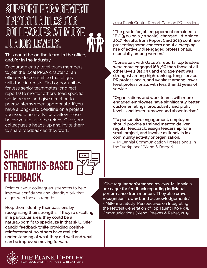### **Support engagement opportunities for colleagues at more junior levels.**

#### **This could be on the team, in the office, and/or in the industry.**

Encourage entry-level team members to join the local PRSA chapter or an office-wide committee that aligns with their interests. Find opportunities for less senior teammates (or direct reports) to mentor others, lead specific workstreams and give direction to peers/interns when appropriate. If you have a long-lead deadline on a project you would normally lead, allow those below you to take the reigns. Give your colleagues a heads-up and invite them to share feedback as they work.

### **Share strengths-based feedback.**



Point out your colleagues' strengths to help improve confidence and identify work that aligns with those strengths.

**Help them identify their passions by recognizing their strengths. If they're excelling in a particular area, they could be a natural-born fit to specialize in that skill. Offer candid feedback while providing positive reinforcement, so others have realistic understanding of what they did well and what can be improved moving forward.**

#### [2019 Plank Center Report Card on PR Leaders:](http://plankcenter.ua.edu/wp-content/uploads/2019/09/Report-Card-Full-Report.pdf)

**"The grade for job engagement remained a "B-" (5.20 on a 7.0 scale), changed little since 2017. Results from Report Card 2019 continue presenting some concern about a creeping rise of actively disengaged professionals, especially among women."** 

**"Consistent with Gallup's reports, top leaders were more engaged (68.7%) than those at all other levels (54.4%), and engagement was strongest among high-ranking, long-service PR professionals, and weakest among lowerlevel professionals with less than 11 years of service.** 

**"Organizations and work teams with more engaged employees have significantly better customer ratings, productivity and profit levels, and lower turnover and absenteeism"** 

**"To personalize engagement, employers should provide a trained mentor, deliver regular feedback, assign leadership for a small project, and involve millennials in a community activity or organization."** 

- ["Millennial Communication Professionals In](http://plankcenter.ua.edu/resources/research/millennial-communication-professionals-in-the-workplace/)  [the Workplace" \(Meng & Berger\)](http://plankcenter.ua.edu/resources/research/millennial-communication-professionals-in-the-workplace/)

**"Give regular performance reviews. Millennials are eager for feedback regarding individual performance from mentors. They also crave recognition, reward, and acknowledgements."** - [Millennial Study: Perspectives on Integrating](http://plankcenter.ua.edu/resources/research/5518-2/)  [the Newest Generation of Top Talent into PR &](http://plankcenter.ua.edu/resources/research/5518-2/)  [Communications \(Meng, Reeves & Reber, 2015\)](http://plankcenter.ua.edu/resources/research/5518-2/)

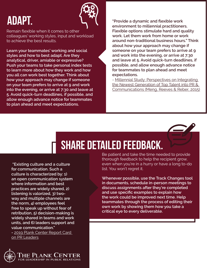### **adapt.**



Remain flexible when it comes to other colleagues' working styles, input and workload to achieve the best results.

**Learn your teammates' working and social styles and how to best adapt. Are they analytical, driver, amiable or expressive? Push your teams to take personal index tests to learn more about how they work and how you all can work best together. Think about how your approach may change if someone on your team prefers to arrive at 9 and work into the evening, or arrive at 7:30 and leave at 5. Avoid quick-turn deadlines, if possible, and allow enough advance notice for teammates to plan ahead and meet expectations.**

**"Provide a dynamic and flexible work environment to millennial practitioners. Flexible options stimulate hard and quality work. Let them work from home or work around non-traditional business hours." Think about how your approach may change if someone on your team prefers to arrive at 9 and work into the evening, or arrive at 7:30 and leave at 5. Avoid quick-turn deadlines, if possible, and allow enough advance notice for teammates to plan ahead and meet expectations.**

- [Millennial Study: Perspectives on Integrating](http://plankcenter.ua.edu/resources/research/5518-2/)  [the Newest Generation of Top Talent into PR &](http://plankcenter.ua.edu/resources/research/5518-2/)  [Communications \(Meng, Reeves & Reber, 2015\)](http://plankcenter.ua.edu/resources/research/5518-2/)



### **Share detailed feedback.**

 **"Existing culture and a culture for communication. Such a culture is characterized by: 1) an open communication system where information and best practices are widely shared, 2) listening is valorized, 3) twoway and multiple channels are the norm, 4) employees feel free to speak up without fear of retribution, 5) decision-making is widely shared in teams and work units, and 6) leaders support and value communication." -** [2019 Plank Center Report Card](http://plankcenter.ua.edu/wp-content/uploads/2019/09/Report-Card-Full-Report.pdf)  [on PR Leaders](http://plankcenter.ua.edu/wp-content/uploads/2019/09/Report-Card-Full-Report.pdf)



Be patient and take the time needed to provide thorough feedback to help the recipient grow, even when you're in a hurry or have a long to-do list. You won't regret it.

**Whenever possible, use the Track Changes tool in documents, schedule in-person meetings to discuss assignments after they're completed and use specific examples to explain how the work could be improved next time. Help teammates through the process of editing their own work by showing them how you take a critical eye to every deliverable.**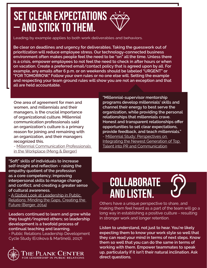### **Set clear expectations – and stick to them.**

Leading by example applies to both work deliverables and behaviors.

**Be clear on deadlines and urgency for deliverables. Taking the guesswork out of prioritization will reduce employee stress. Our technology-connected business environment often makes people feel the need to be "on" all the time. Unless there is a crisis, empower employees to not feel the need to check in after hours or when on vacation. Create a preferred email/contact policy that is agreed upon by all. For example, any emails after 6 p.m. or on weekends should be labeled "URGENT" or "FOR TOMORROW." Follow your own rules or no one else will. Setting the example and respecting your team ground rules will show you are not an exception and that all are held accountable.**

**One area of agreement for men and women, and millennials and their managers, is the crucial importance of organizational culture. Millennial communication professionals said an organization's culture is a primary reason for joining and remaining with an organization, and their managers recognized this.** 

- [Millennial Communication Professionals](http://plankcenter.ua.edu/resources/research/millennial-communication-professionals-in-the-workplace/)  [in the Workplace](http://plankcenter.ua.edu/resources/research/millennial-communication-professionals-in-the-workplace/) (Meng & Berger)

**"Soft" skills of individuals to increase self-insight and reflection - raising the empathy quotient of the profession as a core competency; improving interpersonal skills to manage change and conflict; and creating a greater sense of cultural awareness.** 

- A Global Look at Leadership in Public [Relations: Minding the Gaps, Creating the](http://plankcenter.ua.edu/study-of-trends-in-pr-revealed/)  [Future \(Berger, 2014\)](http://plankcenter.ua.edu/study-of-trends-in-pr-revealed/)

**Leaders continued to learn and grow while they taught/inspired others; so leadership development is a twofold process of continual teaching and learning.**

- Public Relations Leadership Development Cycle Study (Erzikova & Martinelli, 2017)



**"Millennial-supervisor mentorship programs develop millennials' skills and channel their energy to best serve the organization, while providing the personal relationships that millennials crave. Honest and transparent relationships offer opportunities to set clear expectations, provide feedback, and teach millennials."** - [Millennial Study: Perspectives on](http://plankcenter.ua.edu/resources/research/5518-2/)  [Integrating the Newest Generation of Top](http://plankcenter.ua.edu/resources/research/5518-2/)  [Talent into PR and Communication](http://plankcenter.ua.edu/resources/research/5518-2/)

### **Collaborate and listen.**

Others have a unique perspective to share, and making them feel heard as a part of the team will go a long way in establishing a positive culture - resulting in stronger work and longer retention.

**Listen to understand, not just to hear. You're likely expecting them to know your work style so well that they can read your mind in terms of next steps. Know them so well that you can do the same in terms of working with them. Empower teammates to speak up, particularly if it isn't their natural inclination. Ask direct questions.**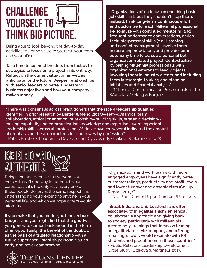### **Challenge YOURSELF TO <sup>Leg</sup> think big picture.**

Being able to look beyond the day-to-day activities will bring value to yourself, your team and your office.

**Take time to connect the dots from tactics to strategies to focus on a project in its entirety. Reflect on the current situation as well as anticipate for the future. Deepen relationships with senior leaders to better understand business objectives and how your company makes money.** 

**"Organizations often focus on enriching basic job skills first, but they shouldn't stop there; instead, think long-term, continuous effort, and customize for each Millennial professional. Personalize with continued mentoring and frequent performance conversations, enrich their interpersonal skills (e.g., listening and conflict management), involve them in recruiting new talent, and provide some autonomy time to pursue a personal but organization-related project. Contextualize by pairing Millennial professionals with organizational veterans to lead projects, involving them in industry events, and including them in strategic-thinking and planning initiatives and financial analysis."**  - ["Millennial Communication Professionals In the](http://plankcenter.ua.edu/resources/research/millennial-communication-professionals-in-the-workplace/)  [Workplace" \(Meng & Berger\)](http://plankcenter.ua.edu/resources/research/millennial-communication-professionals-in-the-workplace/)

**"There was consensus across practitioners that the six PR leadership qualities identified in prior research by Berger & Meng (2013)—self-‑dynamics, team collaboration, ethical orientation, relationship-‑building skills, strategic decision-‑ making capability and communication knowledge and expertise—were important leadership skills across all professions/fields. However, several indicated the amount of emphasis on these characteristics could vary by profession."**

- [Public Relations Leadership Development Cycle Study \(Erzikova & Martinelli, 2017\)](http://plankcenter.ua.edu/wp-content/uploads/2017/03/Leadership-Development-Cycle.pdf)



Being kind and genuine to everyone you work with isn't one way to approach your career path, it's the only way. Every one of these people deserves the same respect and understanding you'd extend to anyone in your personal life, and which we hope others would afford us.

**If you make that your code, you'll never burn bridges, and you might find that the goodwill you generate comes back around in the form of an opportunity, the benefit of the doubt, or as the basis of a trusted relationship with a future supervisor. Establish personal values early, and never compromise.**



**"Organizations and work teams with more engaged employees have significantly better customer ratings, productivity and profit levels, and lower turnover and absenteeism (Gallup Report, 2013)."**

- 2019 Plank Center Report Card on PR Leaders

**"Brazil, India and U.S.: Leadership is often associated with egalitarianism; an ethical, collaborative approach; and giving back to society, particularly with millennials. Accordingly, trainings that focus on leading an egalitarian-‑style company and offering meaningful work would resonate with PR students and practitioners in these countries."** - [Public Relations Leadership Development](http://plankcenter.ua.edu/wp-content/uploads/2017/03/Leadership-Development-Cycle.pdf)  [Cycle Study \(Erzikova & Martinelli, 2017\)](http://plankcenter.ua.edu/wp-content/uploads/2017/03/Leadership-Development-Cycle.pdf)